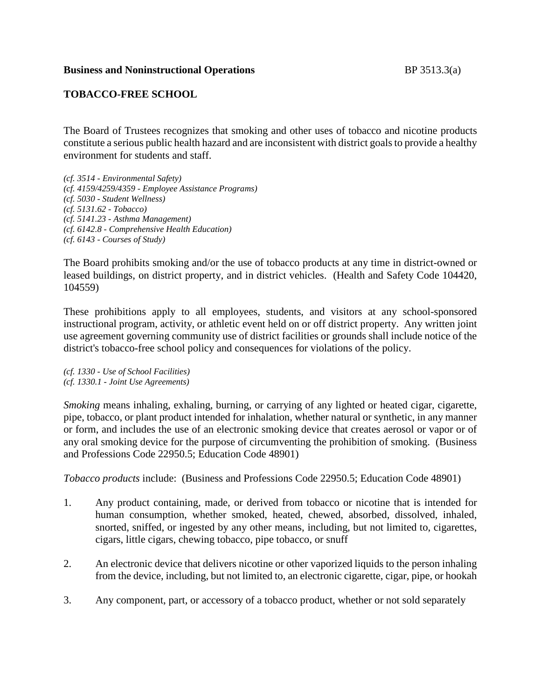### **Business and Noninstructional Operations** BP 3513.3(a)

## **TOBACCO-FREE SCHOOL**

The Board of Trustees recognizes that smoking and other uses of tobacco and nicotine products constitute a serious public health hazard and are inconsistent with district goals to provide a healthy environment for students and staff.

*(cf. 3514 - Environmental Safety) (cf. 4159/4259/4359 - Employee Assistance Programs) (cf. 5030 - Student Wellness) (cf. 5131.62 - Tobacco) (cf. 5141.23 - Asthma Management) (cf. 6142.8 - Comprehensive Health Education) (cf. 6143 - Courses of Study)*

The Board prohibits smoking and/or the use of tobacco products at any time in district-owned or leased buildings, on district property, and in district vehicles. (Health and Safety Code 104420, 104559)

These prohibitions apply to all employees, students, and visitors at any school-sponsored instructional program, activity, or athletic event held on or off district property. Any written joint use agreement governing community use of district facilities or grounds shall include notice of the district's tobacco-free school policy and consequences for violations of the policy.

*(cf. 1330 - Use of School Facilities) (cf. 1330.1 - Joint Use Agreements)*

*Smoking* means inhaling, exhaling, burning, or carrying of any lighted or heated cigar, cigarette, pipe, tobacco, or plant product intended for inhalation, whether natural or synthetic, in any manner or form, and includes the use of an electronic smoking device that creates aerosol or vapor or of any oral smoking device for the purpose of circumventing the prohibition of smoking. (Business and Professions Code 22950.5; Education Code 48901)

*Tobacco products* include: (Business and Professions Code 22950.5; Education Code 48901)

- 1. Any product containing, made, or derived from tobacco or nicotine that is intended for human consumption, whether smoked, heated, chewed, absorbed, dissolved, inhaled, snorted, sniffed, or ingested by any other means, including, but not limited to, cigarettes, cigars, little cigars, chewing tobacco, pipe tobacco, or snuff
- 2. An electronic device that delivers nicotine or other vaporized liquids to the person inhaling from the device, including, but not limited to, an electronic cigarette, cigar, pipe, or hookah
- 3. Any component, part, or accessory of a tobacco product, whether or not sold separately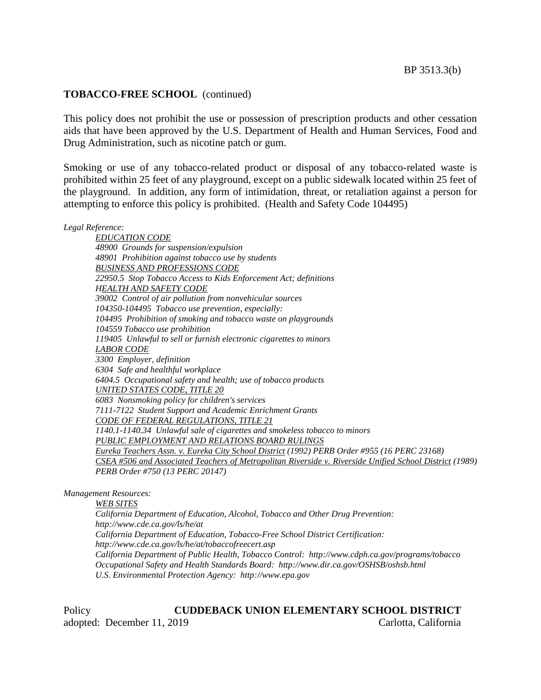#### **TOBACCO-FREE SCHOOL** (continued)

This policy does not prohibit the use or possession of prescription products and other cessation aids that have been approved by the U.S. Department of Health and Human Services, Food and Drug Administration, such as nicotine patch or gum.

Smoking or use of any tobacco-related product or disposal of any tobacco-related waste is prohibited within 25 feet of any playground, except on a public sidewalk located within 25 feet of the playground. In addition, any form of intimidation, threat, or retaliation against a person for attempting to enforce this policy is prohibited. (Health and Safety Code 104495)

*Legal Reference:*

*EDUCATION CODE 48900 Grounds for suspension/expulsion 48901 Prohibition against tobacco use by students BUSINESS AND PROFESSIONS CODE 22950.5 Stop Tobacco Access to Kids Enforcement Act; definitions HEALTH AND SAFETY CODE 39002 Control of air pollution from nonvehicular sources 104350-104495 Tobacco use prevention, especially: 104495 Prohibition of smoking and tobacco waste on playgrounds 104559 Tobacco use prohibition 119405 Unlawful to sell or furnish electronic cigarettes to minors LABOR CODE 3300 Employer, definition 6304 Safe and healthful workplace 6404.5 Occupational safety and health; use of tobacco products UNITED STATES CODE, TITLE 20 6083 Nonsmoking policy for children's services 7111-7122 Student Support and Academic Enrichment Grants CODE OF FEDERAL REGULATIONS, TITLE 21 1140.1-1140.34 Unlawful sale of cigarettes and smokeless tobacco to minors PUBLIC EMPLOYMENT AND RELATIONS BOARD RULINGS Eureka Teachers Assn. v. Eureka City School District (1992) PERB Order #955 (16 PERC 23168) CSEA #506 and Associated Teachers of Metropolitan Riverside v. Riverside Unified School District (1989) PERB Order #750 (13 PERC 20147)*

*Management Resources:*

*WEB SITES*

*California Department of Education, Alcohol, Tobacco and Other Drug Prevention: http://www.cde.ca.gov/ls/he/at California Department of Education, Tobacco-Free School District Certification: http://www.cde.ca.gov/ls/he/at/tobaccofreecert.asp California Department of Public Health, Tobacco Control: http://www.cdph.ca.gov/programs/tobacco Occupational Safety and Health Standards Board: http://www.dir.ca.gov/OSHSB/oshsb.html U.S. Environmental Protection Agency: http://www.epa.gov*

Policy **CUDDEBACK UNION ELEMENTARY SCHOOL DISTRICT** adopted: December 11, 2019 Carlotta, California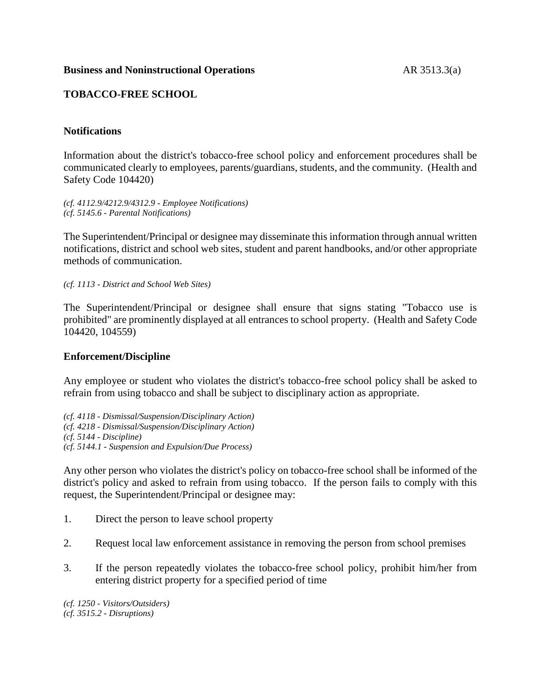## **TOBACCO-FREE SCHOOL**

## **Notifications**

Information about the district's tobacco-free school policy and enforcement procedures shall be communicated clearly to employees, parents/guardians, students, and the community. (Health and Safety Code 104420)

*(cf. 4112.9/4212.9/4312.9 - Employee Notifications) (cf. 5145.6 - Parental Notifications)*

The Superintendent/Principal or designee may disseminate this information through annual written notifications, district and school web sites, student and parent handbooks, and/or other appropriate methods of communication.

*(cf. 1113 - District and School Web Sites)*

The Superintendent/Principal or designee shall ensure that signs stating "Tobacco use is prohibited" are prominently displayed at all entrances to school property. (Health and Safety Code 104420, 104559)

## **Enforcement/Discipline**

Any employee or student who violates the district's tobacco-free school policy shall be asked to refrain from using tobacco and shall be subject to disciplinary action as appropriate.

*(cf. 4118 - Dismissal/Suspension/Disciplinary Action) (cf. 4218 - Dismissal/Suspension/Disciplinary Action) (cf. 5144 - Discipline) (cf. 5144.1 - Suspension and Expulsion/Due Process)*

Any other person who violates the district's policy on tobacco-free school shall be informed of the district's policy and asked to refrain from using tobacco. If the person fails to comply with this request, the Superintendent/Principal or designee may:

- 1. Direct the person to leave school property
- 2. Request local law enforcement assistance in removing the person from school premises
- 3. If the person repeatedly violates the tobacco-free school policy, prohibit him/her from entering district property for a specified period of time

*(cf. 1250 - Visitors/Outsiders) (cf. 3515.2 - Disruptions)*